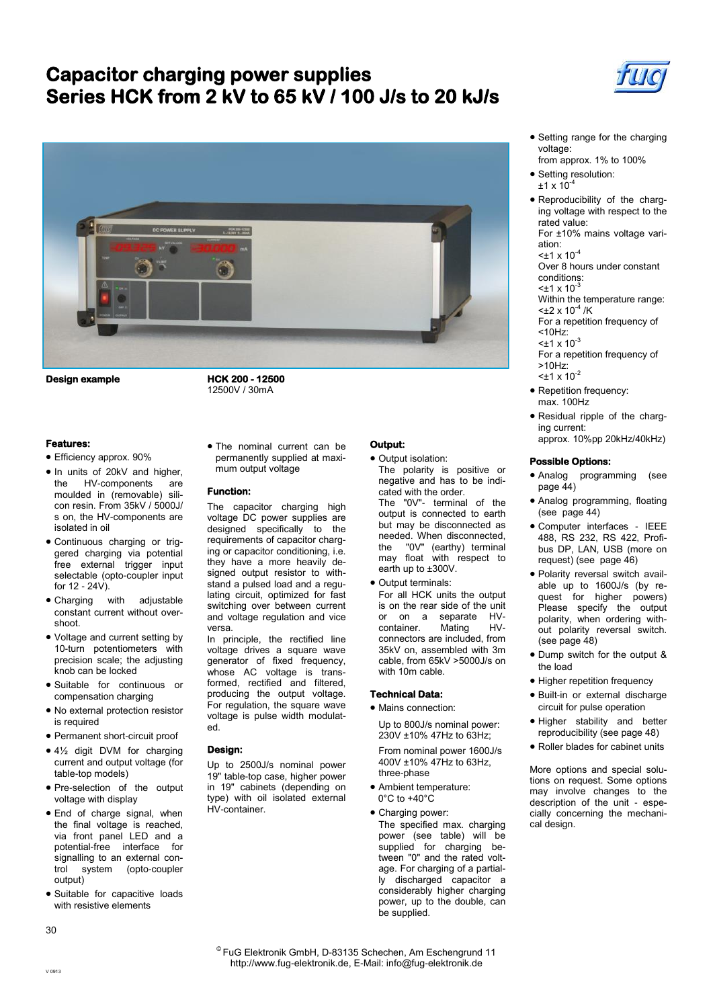# **Capacitor charging power supplies Series HCK from 2 kV to 65 kV / 100 J/s to 20 kJ/s**





**Design example** 

**HCK 200 - 12500**  12500V / 30mA

### **Features:**

- Efficiency approx. 90%
- In units of 20kV and higher, the HV-components are moulded in (removable) silicon resin. From 35kV / 5000J/ s on, the HV-components are isolated in oil
- Continuous charging or triggered charging via potential free external trigger input selectable (opto-coupler input for 12 - 24V).
- Charging with adjustable constant current without overshoot.
- Voltage and current setting by 10-turn potentiometers with precision scale; the adjusting knob can be locked
- Suitable for continuous or compensation charging
- No external protection resistor is required
- Permanent short-circuit proof
- 4½ digit DVM for charging current and output voltage (for table-top models)
- Pre-selection of the output voltage with display
- End of charge signal, when the final voltage is reached, via front panel LED and a potential-free interface for signalling to an external control system (opto-coupler output)
- Suitable for capacitive loads with resistive elements

 The nominal current can be permanently supplied at maximum output voltage

### **Function:**

The capacitor charging high voltage DC power supplies are designed specifically to the requirements of capacitor charging or capacitor conditioning, i.e. they have a more heavily designed output resistor to withstand a pulsed load and a regulating circuit, optimized for fast switching over between current and voltage regulation and vice versa.

In principle, the rectified line voltage drives a square wave generator of fixed frequency, whose AC voltage is transformed, rectified and filtered, producing the output voltage. For regulation, the square wave voltage is pulse width modulated.

### **Design:**

Up to 2500J/s nominal power 19" table-top case, higher power in 19" cabinets (depending on type) with oil isolated external HV-container.

- **Output:**
- $\bullet$  Output isolation: The polarity is positive or negative and has to be indicated with the order.

The "0V"- terminal of the output is connected to earth but may be disconnected as needed. When disconnected, the "0V" (earthy) terminal may float with respect to earth up to ±300V.

- Output terminals: For all HCK units the output
- is on the rear side of the unit or on a separate HV-<br>container. Mating HVcontainer. connectors are included, from 35kV on, assembled with 3m cable, from 65kV >5000J/s on with 10m cable.

#### **Technical Data:**

- Mains connection: Up to 800J/s nominal power:
- 230V ±10% 47Hz to 63Hz; From nominal power 1600J/s
- 400V ±10% 47Hz to 63Hz, three-phase Ambient temperature:
- 0°C to +40°C
- Charging power: The specified max. charging power (see table) will be supplied for charging between "0" and the rated voltage. For charging of a partially discharged capacitor a considerably higher charging power, up to the double, can be supplied.
- Setting range for the charging voltage:
- from approx. 1% to 100% • Setting resolution:
- $±1 \times 10^{-4}$
- Reproducibility of the charging voltage with respect to the rated value:

For ±10% mains voltage variation:  $<$ ±1 x 10<sup>-4</sup>

Over 8 hours under constant conditions:

 $\leq$ ±1 x 10 $^3$ 

Within the temperature range:

- $<\pm 2 \times 10^{-4}$  /K For a repetition frequency of
- <10Hz:
- $<$ ±1 x 10<sup>-3</sup>
- For a repetition frequency of >10Hz:
- $<$ ±1 x 10<sup>-2</sup>
- Repetition frequency: max. 100Hz
- Residual ripple of the charging current:

# approx. 10%pp 20kHz/40kHz)

## **Possible Options:**

- Analog programming (see page 44)
- Analog programming, floating (see page 44)
- Computer interfaces IEEE 488, RS 232, RS 422, Profibus DP, LAN, USB (more on request) (see page 46)
- Polarity reversal switch available up to 1600J/s (by request for higher powers) Please specify the output polarity, when ordering without polarity reversal switch. (see page 48)
- Dump switch for the output & the load
- Higher repetition frequency
- Built-in or external discharge circuit for pulse operation
- Higher stability and better reproducibility (see page 48)
- Roller blades for cabinet units

More options and special solutions on request. Some options may involve changes to the description of the unit - especially concerning the mechanical design.

30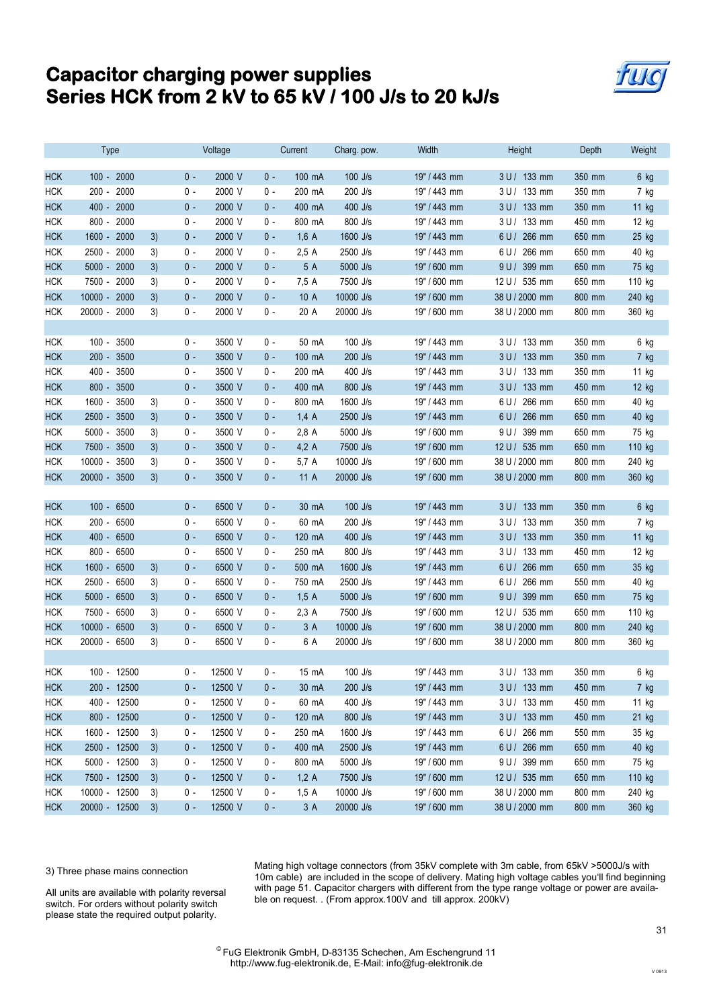# **Capacitor charging power supplies Series HCK from 2 kV to 65 kV / 100 J/s to 20 kJ/s**



|            | <b>Type</b>       |    | Voltage |         | Current |                 | Charg. pow. | Width        | Height         | Depth  | Weight |
|------------|-------------------|----|---------|---------|---------|-----------------|-------------|--------------|----------------|--------|--------|
| <b>HCK</b> | 100 - 2000        |    | $0 -$   | 2000 V  | $0 -$   | 100 mA          | $100$ J/s   | 19" / 443 mm | 3 U / 133 mm   | 350 mm | 6 kg   |
| <b>HCK</b> | 200 - 2000        |    | 0 -     | 2000 V  | 0 -     | 200 mA          | 200 J/s     | 19" / 443 mm | 3 U / 133 mm   | 350 mm | 7 kg   |
| <b>HCK</b> | 400 - 2000        |    | 0 -     | 2000 V  | 0 -     | 400 mA          | 400 J/s     | 19" / 443 mm | 3 U / 133 mm   | 350 mm | 11 kg  |
| <b>HCK</b> | 800 - 2000        |    | 0 -     | 2000 V  | 0 -     | 800 mA          | 800 J/s     | 19" / 443 mm | 3 U / 133 mm   | 450 mm | 12 kg  |
| <b>HCK</b> | 1600 - 2000       | 3) | 0 -     | 2000 V  | 0 -     | 1,6A            | 1600 J/s    | 19" / 443 mm | 6 U / 266 mm   | 650 mm | 25 kg  |
| <b>HCK</b> | 2500 - 2000       | 3) | 0 -     | 2000 V  | 0 -     | 2,5A            | 2500 J/s    | 19" / 443 mm | 6 U / 266 mm   | 650 mm | 40 kg  |
| <b>HCK</b> | 5000 - 2000       | 3) | 0 -     | 2000 V  | 0 -     | 5 A             | 5000 J/s    | 19" / 600 mm | 9 U / 399 mm   | 650 mm | 75 kg  |
| <b>HCK</b> | 7500 - 2000       | 3) | 0 -     | 2000 V  | 0 -     | 7,5 A           | 7500 J/s    | 19" / 600 mm | 12 U / 535 mm  | 650 mm | 110 kg |
| <b>HCK</b> | $10000 -$<br>2000 | 3) | 0 -     | 2000 V  | $0 -$   | 10A             | 10000 J/s   | 19" / 600 mm | 38 U / 2000 mm | 800 mm | 240 kg |
| <b>HCK</b> | 20000 - 2000      | 3) | 0 -     | 2000 V  | 0 -     | 20 A            | 20000 J/s   | 19" / 600 mm | 38 U / 2000 mm | 800 mm | 360 kg |
|            |                   |    |         |         |         |                 |             |              |                |        |        |
| <b>HCK</b> | 100 - 3500        |    | 0 -     | 3500 V  | 0 -     | 50 mA           | $100$ J/s   | 19" / 443 mm | $3 U / 133$ mm | 350 mm | 6 kg   |
| <b>HCK</b> | 200 - 3500        |    | 0 -     | 3500 V  | $0 -$   | 100 mA          | 200 J/s     | 19" / 443 mm | 3 U / 133 mm   | 350 mm | 7 kg   |
| <b>HCK</b> | 400 - 3500        |    | 0 -     | 3500 V  | 0 -     | 200 mA          | 400 J/s     | 19" / 443 mm | 3 U / 133 mm   | 350 mm | 11 kg  |
| <b>HCK</b> | 800 - 3500        |    | $0 -$   | 3500 V  | $0 -$   | 400 mA          | 800 J/s     | 19" / 443 mm | 3 U / 133 mm   | 450 mm | 12 kg  |
| <b>HCK</b> | 1600 - 3500       | 3) | 0 -     | 3500 V  | 0 -     | 800 mA          | 1600 J/s    | 19" / 443 mm | 6 U / 266 mm   | 650 mm | 40 kg  |
| <b>HCK</b> | 2500 - 3500       | 3) | $0 -$   | 3500 V  | 0 -     | 1,4A            | 2500 J/s    | 19" / 443 mm | 6 U / 266 mm   | 650 mm | 40 kg  |
| <b>HCK</b> | $5000 -$<br>3500  | 3) | 0 -     | 3500 V  | 0 -     | 2,8 A           | 5000 J/s    | 19" / 600 mm | 9 U / 399 mm   | 650 mm | 75 kg  |
| <b>HCK</b> | 7500 - 3500       | 3) | 0 -     | 3500 V  | 0 -     | $4,2 \text{ A}$ | 7500 J/s    | 19" / 600 mm | 12 U / 535 mm  | 650 mm | 110 kg |
| <b>HCK</b> | $10000 -$<br>3500 | 3) | 0 -     | 3500 V  | 0 -     | 5,7 A           | 10000 J/s   | 19" / 600 mm | 38 U / 2000 mm | 800 mm | 240 kg |
| <b>HCK</b> | 20000 - 3500      | 3) | 0 -     | 3500 V  | $0 -$   | 11A             | 20000 J/s   | 19" / 600 mm | 38 U / 2000 mm | 800 mm | 360 kg |
|            |                   |    |         |         |         |                 |             |              |                |        |        |
| <b>HCK</b> | 100 - 6500        |    | $0 -$   | 6500 V  | $0 -$   | 30 mA           | 100 J/s     | 19" / 443 mm | 3 U / 133 mm   | 350 mm | 6 kg   |
| <b>HCK</b> | 200 - 6500        |    | 0 -     | 6500 V  | 0 -     | 60 mA           | 200 J/s     | 19" / 443 mm | 3 U / 133 mm   | 350 mm | 7 kg   |
| <b>HCK</b> | 400 - 6500        |    | 0 -     | 6500 V  | 0 -     | 120 mA          | 400 J/s     | 19" / 443 mm | 3 U / 133 mm   | 350 mm | 11 kg  |
| <b>HCK</b> | 800 - 6500        |    | 0 -     | 6500 V  | 0 -     | 250 mA          | 800 J/s     | 19" / 443 mm | 3 U / 133 mm   | 450 mm | 12 kg  |
| <b>HCK</b> | 1600 - 6500       | 3) | 0 -     | 6500 V  | 0 -     | 500 mA          | 1600 J/s    | 19" / 443 mm | 6 U / 266 mm   | 650 mm | 35 kg  |
| <b>HCK</b> | 2500 - 6500       | 3) | 0 -     | 6500 V  | 0 -     | 750 mA          | 2500 J/s    | 19" / 443 mm | 6 U / 266 mm   | 550 mm | 40 kg  |
| <b>HCK</b> | 5000 - 6500       | 3) | 0 -     | 6500 V  | 0 -     | 1,5A            | 5000 J/s    | 19" / 600 mm | 9 U / 399 mm   | 650 mm | 75 kg  |
| <b>HCK</b> | 7500 - 6500       | 3) | 0 -     | 6500 V  | 0 -     | 2,3A            | 7500 J/s    | 19" / 600 mm | 12 U / 535 mm  | 650 mm | 110 kg |
| <b>HCK</b> | 10000 - 6500      | 3) | 0 -     | 6500 V  | $0 -$   | 3A              | 10000 J/s   | 19" / 600 mm | 38 U / 2000 mm | 800 mm | 240 kg |
| <b>HCK</b> | 20000 - 6500      | 3) | 0 -     | 6500 V  | 0 -     | 6 A             | 20000 J/s   | 19" / 600 mm | 38 U / 2000 mm | 800 mm | 360 kg |
|            |                   |    |         |         |         |                 |             |              |                |        |        |
| <b>HCK</b> | 100 - 12500       |    | 0 -     | 12500 V | 0 -     | 15 mA           | $100$ J/s   | 19" / 443 mm | 3 U / 133 mm   | 350 mm | 6 kg   |
| <b>HCK</b> | 200 - 12500       |    | $0 -$   | 12500 V | $0 -$   | 30 mA           | 200 J/s     | 19" / 443 mm | 3 U / 133 mm   | 450 mm | 7 kg   |
| <b>HCK</b> | 400 - 12500       |    | 0 -     | 12500 V | 0 -     | 60 mA           | 400 J/s     | 19" / 443 mm | 3 U / 133 mm   | 450 mm | 11 kg  |
| <b>HCK</b> | 800 - 12500       |    | $0 -$   | 12500 V | $0 -$   | 120 mA          | 800 J/s     | 19" / 443 mm | 3 U / 133 mm   | 450 mm | 21 kg  |
| <b>HCK</b> | 1600 - 12500      | 3) | 0 -     | 12500 V | 0 -     | 250 mA          | 1600 J/s    | 19" / 443 mm | 6 U / 266 mm   | 550 mm | 35 kg  |
| <b>HCK</b> | 2500 - 12500      | 3) | $0 -$   | 12500 V | $0 -$   | 400 mA          | 2500 J/s    | 19" / 443 mm | 6 U / 266 mm   | 650 mm | 40 kg  |
| <b>HCK</b> | 5000 - 12500      | 3) | $0 -$   | 12500 V | 0 -     | 800 mA          | 5000 J/s    | 19" / 600 mm | 9 U / 399 mm   | 650 mm | 75 kg  |
| <b>HCK</b> | 7500 - 12500      | 3) | 0 -     | 12500 V | $0 -$   | 1,2A            | 7500 J/s    | 19" / 600 mm | 12 U / 535 mm  | 650 mm | 110 kg |
| <b>HCK</b> | 10000 - 12500     | 3) | $0 -$   | 12500 V | $0 -$   | 1,5A            | 10000 J/s   | 19" / 600 mm | 38 U / 2000 mm | 800 mm | 240 kg |
| <b>HCK</b> | 20000 - 12500     | 3) | $0 -$   | 12500 V | $0 -$   | 3A              | 20000 J/s   | 19" / 600 mm | 38 U / 2000 mm | 800 mm | 360 kg |

3) Three phase mains connection

Mating high voltage connectors (from 35kV complete with 3m cable, from 65kV >5000J/s with 10m cable) are included in the scope of delivery. Mating high voltage cables you'll find beginning with page 51. Capacitor chargers with different from the type range voltage or power are available on request. . (From approx.100V and till approx. 200kV)

All units are available with polarity reversal switch. For orders without polarity switch please state the required output polarity.

> © FuG Elektronik GmbH, D-83135 Schechen, Am Eschengrund 11 http://www.fug-elektronik.de, E-Mail: info@fug-elektronik.de